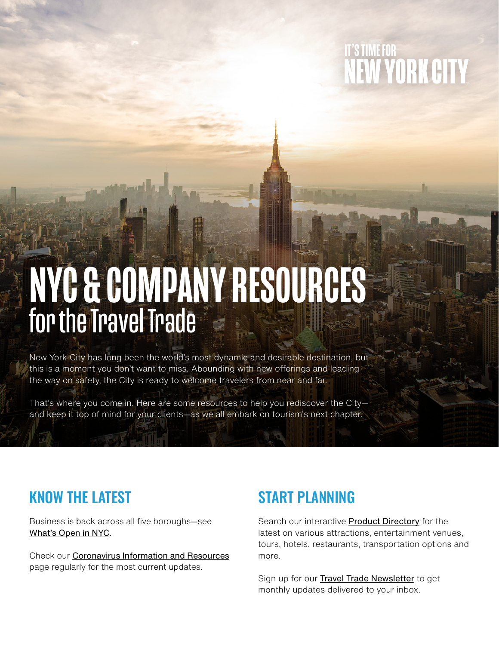# IT'S TIME FOR **NEW YORK CITY**

# NYC & COMPANY RESOURCES for the Travel Trade

New York City has long been the world's most dynamic and desirable destination, but this is a moment you don't want to miss. Abounding with new offerings and leading the way on safety, the City is ready to welcome travelers from near and far.

That's where you come in. Here are some resources to help you rediscover the City and keep it top of mind for your clients—as we all embark on tourism's next chapter.

## KNOW THE LATEST

Business is back across all five boroughs—see [What's Open in NYC](https://www.nycgo.com/whats-open-near-you-in-nyc).

Check our [Coronavirus Information and Resources](https://business.nycgo.com/coronavirus-information-and-resources/) page regularly for the most current updates.

## START PLANNING

Search our interactive **[Product Directory](https://business.nycgo.com/travel-trade/product-directory/)** for the latest on various attractions, entertainment venues, tours, hotels, restaurants, transportation options and more.

Sign up for our **[Travel Trade Newsletter](https://business.nycgo.com/travel-trade/connect-with-us/sign-up-for-our-newsletter/)** to get monthly updates delivered to your inbox.